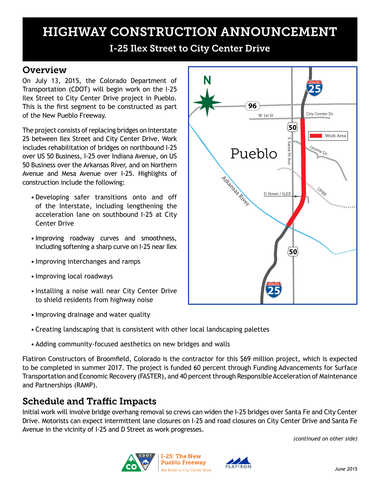## HIGHWAY CONSTRUCTION ANNOUNCEMENT

I-25 Ilex Street to City Center Drive

### **Overview**

On July 13, 2015, the Colorado Department of Transportation (CDOT) will begin work on the I-25 Ilex Street to City Center Drive project in Pueblo. This is the first segment to be constructed as part of the New Pueblo Freeway.

The project consists of replacing bridges on Interstate 25 between Ilex Street and City Center Drive. Work includes rehabilitation of bridges on northbound I-25 over US 50 Business, I-25 over Indiana Avenue, on US 50 Business over the Arkansas River, and on Northern Avenue and Mesa Avenue over I-25. Highlights of construction include the following:

- Developing safer transitions onto and off of the Interstate, including lengthening the acceleration lane on southbound I-25 at City Center Drive
- Improving roadway curves and smoothness, including softening a sharp curve on I-25 near Ilex
- Improving interchanges and ramps
- Improving local roadways
- Installing a noise wall near City Center Drive to shield residents from highway noise
- Improving drainage and water quality
- Creating landscaping that is consistent with other local landscaping palettes
- Adding community-focused aesthetics on new bridges and walls

Flatiron Constructors of Broomfield, Colorado is the contractor for this \$69 million project, which is expected to be completed in summer 2017. The project is funded 60 percent through Funding Advancements for Surface Transportation and Economic Recovery (FASTER), and 40 percent through Responsible Acceleration of Maintenance and Partnerships (RAMP).

### Schedule and Traffic Impacts

Initial work will involve bridge overhang removal so crews can widen the I-25 bridges over Santa Fe and City Center Drive. Motorists can expect intermittent lane closures on I-25 and road closures on City Center Drive and Santa Fe Avenue in the vicinity of I-25 and D Street as work progresses.

*(continued on other side)*